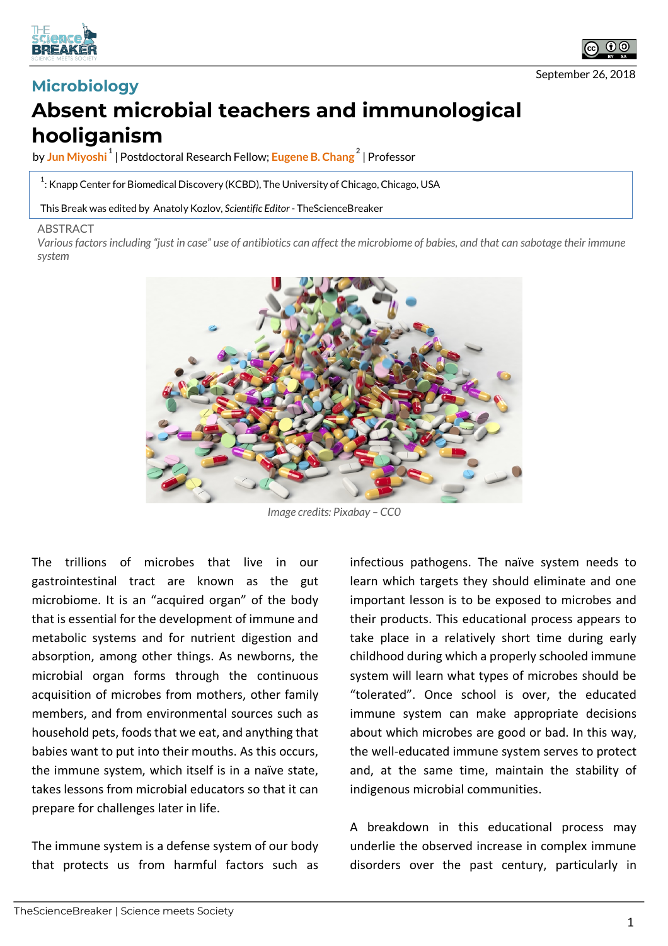



September 26, 2018

## **Microbiology Absent microbial teachers and immunological hooliganism**

by **Jun Miyoshi <sup>1</sup>** | Postdoctoral Research Fellow; **Eugene B. Chang <sup>2</sup>** | Professor

 $^{\rm 1}$ : Knapp Center for Biomedical Discovery (KCBD), The University of Chicago, Chicago, USA

This Break was edited by Anatoly Kozlov, *Scientific Editor* - TheScienceBreaker

## ABSTRACT

*Various factors including "just in case" use of antibiotics can affect the microbiome of babies, and that can sabotage their immune system*



*Image credits: Pixabay – CC0*

The trillions of microbes that live in our gastrointestinal tract are known as the gut microbiome. It is an "acquired organ" of the body that is essential for the development of immune and metabolic systems and for nutrient digestion and absorption, among other things. As newborns, the microbial organ forms through the continuous acquisition of microbes from mothers, other family members, and from environmental sources such as household pets, foods that we eat, and anything that babies want to put into their mouths. As this occurs, the immune system, which itself is in a naïve state, takes lessons from microbial educators so that it can prepare for challenges later in life.

The immune system is a defense system of our body that protects us from harmful factors such as infectious pathogens. The naïve system needs to learn which targets they should eliminate and one important lesson is to be exposed to microbes and their products. This educational process appears to take place in a relatively short time during early childhood during which a properly schooled immune system will learn what types of microbes should be "tolerated". Once school is over, the educated immune system can make appropriate decisions about which microbes are good or bad. In this way, the well-educated immune system serves to protect and, at the same time, maintain the stability of indigenous microbial communities.

A breakdown in this educational process may underlie the observed increase in complex immune disorders over the past century, particularly in